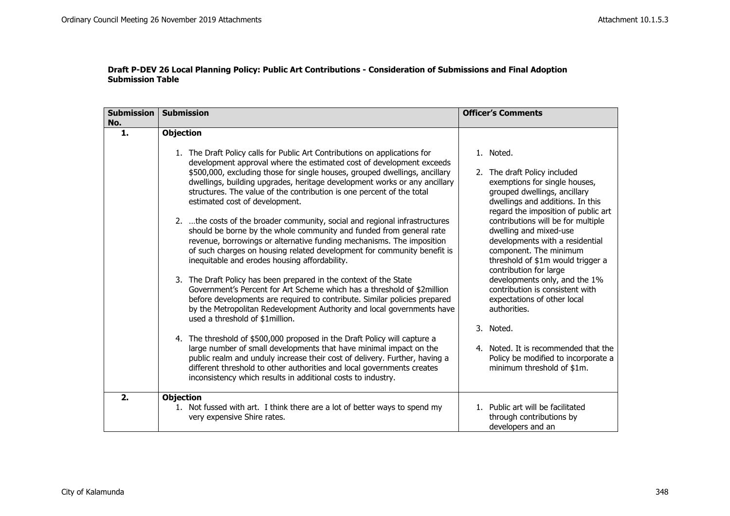| <b>Submission</b><br>No. | <b>Submission</b>                                                                                                                                                                                                                                                                                                                                                                                                                                                                                                                                                                                                                                                                                                                                     | <b>Officer's Comments</b>                                                                                                                                                                                                                                                                                          |
|--------------------------|-------------------------------------------------------------------------------------------------------------------------------------------------------------------------------------------------------------------------------------------------------------------------------------------------------------------------------------------------------------------------------------------------------------------------------------------------------------------------------------------------------------------------------------------------------------------------------------------------------------------------------------------------------------------------------------------------------------------------------------------------------|--------------------------------------------------------------------------------------------------------------------------------------------------------------------------------------------------------------------------------------------------------------------------------------------------------------------|
| $\mathbf{1}$             | <b>Objection</b><br>1. The Draft Policy calls for Public Art Contributions on applications for<br>development approval where the estimated cost of development exceeds<br>\$500,000, excluding those for single houses, grouped dwellings, ancillary<br>dwellings, building upgrades, heritage development works or any ancillary<br>structures. The value of the contribution is one percent of the total<br>estimated cost of development.<br>2. the costs of the broader community, social and regional infrastructures<br>should be borne by the whole community and funded from general rate<br>revenue, borrowings or alternative funding mechanisms. The imposition<br>of such charges on housing related development for community benefit is | 1. Noted.<br>2. The draft Policy included<br>exemptions for single houses,<br>grouped dwellings, ancillary<br>dwellings and additions. In this<br>regard the imposition of public art<br>contributions will be for multiple<br>dwelling and mixed-use<br>developments with a residential<br>component. The minimum |
|                          | inequitable and erodes housing affordability.<br>3. The Draft Policy has been prepared in the context of the State<br>Government's Percent for Art Scheme which has a threshold of \$2million<br>before developments are required to contribute. Similar policies prepared<br>by the Metropolitan Redevelopment Authority and local governments have<br>used a threshold of \$1million.                                                                                                                                                                                                                                                                                                                                                               | threshold of \$1m would trigger a<br>contribution for large<br>developments only, and the 1%<br>contribution is consistent with<br>expectations of other local<br>authorities.<br>3. Noted.                                                                                                                        |
|                          | The threshold of \$500,000 proposed in the Draft Policy will capture a<br>4.<br>large number of small developments that have minimal impact on the<br>public realm and unduly increase their cost of delivery. Further, having a<br>different threshold to other authorities and local governments creates<br>inconsistency which results in additional costs to industry.                                                                                                                                                                                                                                                                                                                                                                            | 4. Noted. It is recommended that the<br>Policy be modified to incorporate a<br>minimum threshold of \$1m.                                                                                                                                                                                                          |
| 2.                       | <b>Objection</b><br>1. Not fussed with art. I think there are a lot of better ways to spend my<br>very expensive Shire rates.                                                                                                                                                                                                                                                                                                                                                                                                                                                                                                                                                                                                                         | 1. Public art will be facilitated<br>through contributions by<br>developers and an                                                                                                                                                                                                                                 |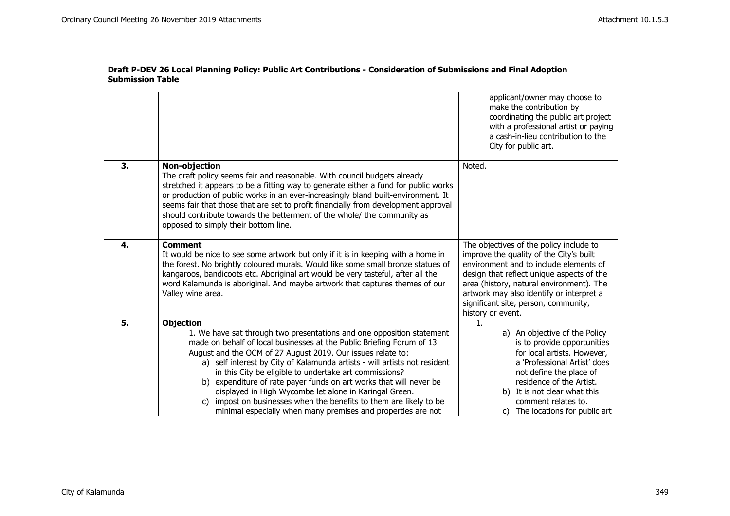|    |                                                                                                                                                                                                                                                                                                                                                                                                                                                                                                                                                                                                                                                      | applicant/owner may choose to<br>make the contribution by<br>coordinating the public art project<br>with a professional artist or paying<br>a cash-in-lieu contribution to the<br>City for public art.                                                                                                                         |
|----|------------------------------------------------------------------------------------------------------------------------------------------------------------------------------------------------------------------------------------------------------------------------------------------------------------------------------------------------------------------------------------------------------------------------------------------------------------------------------------------------------------------------------------------------------------------------------------------------------------------------------------------------------|--------------------------------------------------------------------------------------------------------------------------------------------------------------------------------------------------------------------------------------------------------------------------------------------------------------------------------|
| 3. | <b>Non-objection</b><br>The draft policy seems fair and reasonable. With council budgets already<br>stretched it appears to be a fitting way to generate either a fund for public works<br>or production of public works in an ever-increasingly bland built-environment. It<br>seems fair that those that are set to profit financially from development approval<br>should contribute towards the betterment of the whole/ the community as<br>opposed to simply their bottom line.                                                                                                                                                                | Noted.                                                                                                                                                                                                                                                                                                                         |
| 4. | <b>Comment</b><br>It would be nice to see some artwork but only if it is in keeping with a home in<br>the forest. No brightly coloured murals. Would like some small bronze statues of<br>kangaroos, bandicoots etc. Aboriginal art would be very tasteful, after all the<br>word Kalamunda is aboriginal. And maybe artwork that captures themes of our<br>Valley wine area.                                                                                                                                                                                                                                                                        | The objectives of the policy include to<br>improve the quality of the City's built<br>environment and to include elements of<br>design that reflect unique aspects of the<br>area (history, natural environment). The<br>artwork may also identify or interpret a<br>significant site, person, community,<br>history or event. |
| 5. | <b>Objection</b><br>1. We have sat through two presentations and one opposition statement<br>made on behalf of local businesses at the Public Briefing Forum of 13<br>August and the OCM of 27 August 2019. Our issues relate to:<br>a) self interest by City of Kalamunda artists - will artists not resident<br>in this City be eligible to undertake art commissions?<br>expenditure of rate payer funds on art works that will never be<br>b)<br>displayed in High Wycombe let alone in Karingal Green.<br>impost on businesses when the benefits to them are likely to be<br>C)<br>minimal especially when many premises and properties are not | 1.<br>a) An objective of the Policy<br>is to provide opportunities<br>for local artists. However,<br>a 'Professional Artist' does<br>not define the place of<br>residence of the Artist.<br>b) It is not clear what this<br>comment relates to.<br>c) The locations for public art                                             |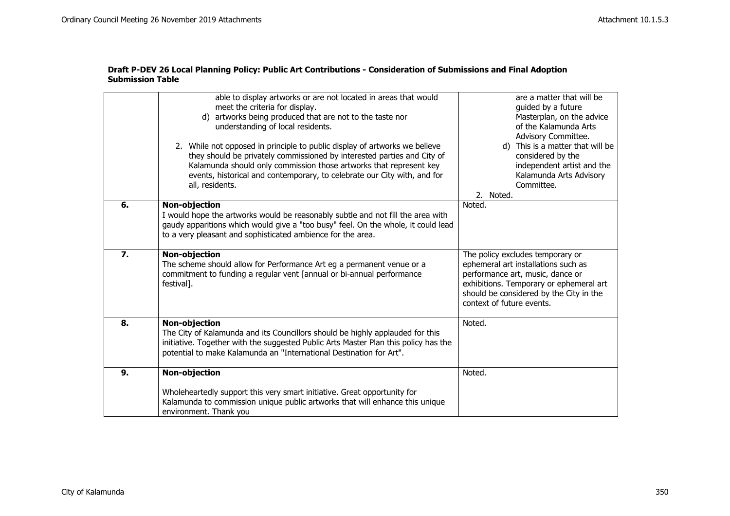|    | able to display artworks or are not located in areas that would<br>meet the criteria for display.<br>d) artworks being produced that are not to the taste nor<br>understanding of local residents.<br>2. While not opposed in principle to public display of artworks we believe<br>they should be privately commissioned by interested parties and City of<br>Kalamunda should only commission those artworks that represent key<br>events, historical and contemporary, to celebrate our City with, and for<br>all, residents. | are a matter that will be<br>quided by a future<br>Masterplan, on the advice<br>of the Kalamunda Arts<br>Advisory Committee.<br>d) This is a matter that will be<br>considered by the<br>independent artist and the<br>Kalamunda Arts Advisory<br>Committee.<br>2. Noted. |
|----|----------------------------------------------------------------------------------------------------------------------------------------------------------------------------------------------------------------------------------------------------------------------------------------------------------------------------------------------------------------------------------------------------------------------------------------------------------------------------------------------------------------------------------|---------------------------------------------------------------------------------------------------------------------------------------------------------------------------------------------------------------------------------------------------------------------------|
| 6. | <b>Non-objection</b><br>I would hope the artworks would be reasonably subtle and not fill the area with<br>gaudy apparitions which would give a "too busy" feel. On the whole, it could lead<br>to a very pleasant and sophisticated ambience for the area.                                                                                                                                                                                                                                                                      | Noted.                                                                                                                                                                                                                                                                    |
| 7. | Non-objection<br>The scheme should allow for Performance Art eg a permanent venue or a<br>commitment to funding a regular vent [annual or bi-annual performance<br>festival].                                                                                                                                                                                                                                                                                                                                                    | The policy excludes temporary or<br>ephemeral art installations such as<br>performance art, music, dance or<br>exhibitions. Temporary or ephemeral art<br>should be considered by the City in the<br>context of future events.                                            |
| 8. | Non-objection<br>The City of Kalamunda and its Councillors should be highly applauded for this<br>initiative. Together with the suggested Public Arts Master Plan this policy has the<br>potential to make Kalamunda an "International Destination for Art".                                                                                                                                                                                                                                                                     | Noted.                                                                                                                                                                                                                                                                    |
| 9. | <b>Non-objection</b><br>Wholeheartedly support this very smart initiative. Great opportunity for<br>Kalamunda to commission unique public artworks that will enhance this unique<br>environment. Thank you                                                                                                                                                                                                                                                                                                                       | Noted.                                                                                                                                                                                                                                                                    |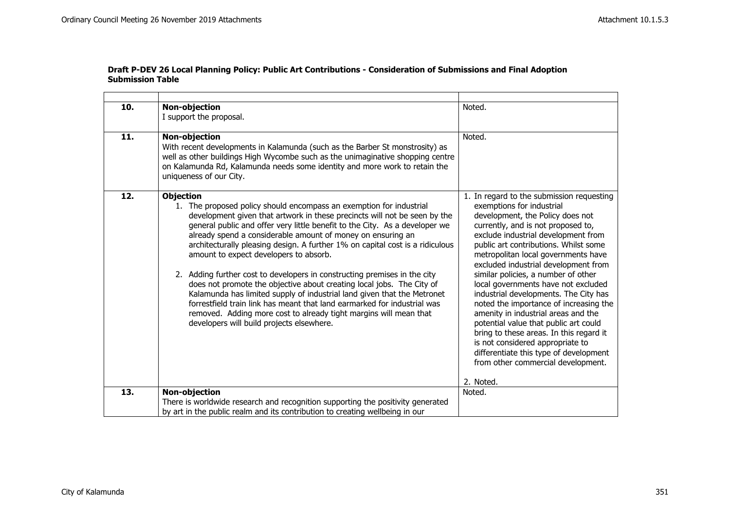$\overline{\phantom{0}}$ 

| 10. | <b>Non-objection</b><br>I support the proposal.                                                                                                                                                                                                                                                                                                                                                                                                                                                                                                                                                                                                                                                                                                                                                                                                                              | Noted.                                                                                                                                                                                                                                                                                                                                                                                                                                                                                                                                                                                                                                                                                                                                       |
|-----|------------------------------------------------------------------------------------------------------------------------------------------------------------------------------------------------------------------------------------------------------------------------------------------------------------------------------------------------------------------------------------------------------------------------------------------------------------------------------------------------------------------------------------------------------------------------------------------------------------------------------------------------------------------------------------------------------------------------------------------------------------------------------------------------------------------------------------------------------------------------------|----------------------------------------------------------------------------------------------------------------------------------------------------------------------------------------------------------------------------------------------------------------------------------------------------------------------------------------------------------------------------------------------------------------------------------------------------------------------------------------------------------------------------------------------------------------------------------------------------------------------------------------------------------------------------------------------------------------------------------------------|
| 11. | <b>Non-objection</b><br>With recent developments in Kalamunda (such as the Barber St monstrosity) as<br>well as other buildings High Wycombe such as the unimaginative shopping centre<br>on Kalamunda Rd, Kalamunda needs some identity and more work to retain the<br>uniqueness of our City.                                                                                                                                                                                                                                                                                                                                                                                                                                                                                                                                                                              | Noted.                                                                                                                                                                                                                                                                                                                                                                                                                                                                                                                                                                                                                                                                                                                                       |
| 12. | <b>Objection</b><br>1. The proposed policy should encompass an exemption for industrial<br>development given that artwork in these precincts will not be seen by the<br>general public and offer very little benefit to the City. As a developer we<br>already spend a considerable amount of money on ensuring an<br>architecturally pleasing design. A further 1% on capital cost is a ridiculous<br>amount to expect developers to absorb.<br>2. Adding further cost to developers in constructing premises in the city<br>does not promote the objective about creating local jobs. The City of<br>Kalamunda has limited supply of industrial land given that the Metronet<br>forrestfield train link has meant that land earmarked for industrial was<br>removed. Adding more cost to already tight margins will mean that<br>developers will build projects elsewhere. | 1. In regard to the submission requesting<br>exemptions for industrial<br>development, the Policy does not<br>currently, and is not proposed to,<br>exclude industrial development from<br>public art contributions. Whilst some<br>metropolitan local governments have<br>excluded industrial development from<br>similar policies, a number of other<br>local governments have not excluded<br>industrial developments. The City has<br>noted the importance of increasing the<br>amenity in industrial areas and the<br>potential value that public art could<br>bring to these areas. In this regard it<br>is not considered appropriate to<br>differentiate this type of development<br>from other commercial development.<br>2. Noted. |
| 13. | <b>Non-objection</b><br>There is worldwide research and recognition supporting the positivity generated<br>by art in the public realm and its contribution to creating wellbeing in our                                                                                                                                                                                                                                                                                                                                                                                                                                                                                                                                                                                                                                                                                      | Noted.                                                                                                                                                                                                                                                                                                                                                                                                                                                                                                                                                                                                                                                                                                                                       |

## **Draft P-DEV 26 Local Planning Policy: Public Art Contributions - Consideration of Submissions and Final Adoption Submission Table**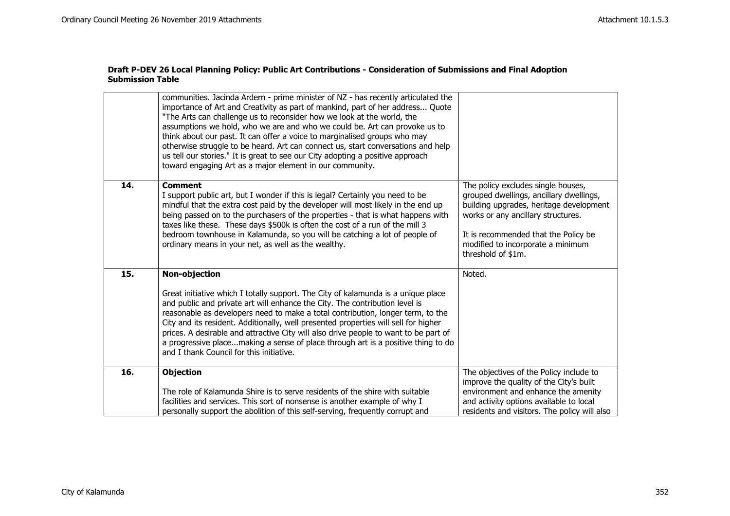|     | communities. Jacinda Ardern - prime minister of NZ - has recently articulated the<br>importance of Art and Creativity as part of mankind, part of her address Quote<br>"The Arts can challenge us to reconsider how we look at the world, the<br>assumptions we hold, who we are and who we could be. Art can provoke us to<br>think about our past. It can offer a voice to marginalised groups who may<br>otherwise struggle to be heard. Art can connect us, start conversations and help<br>us tell our stories." It is great to see our City adopting a positive approach<br>toward engaging Art as a major element in our community. |                                                                                                                                                                                                                                                                   |
|-----|--------------------------------------------------------------------------------------------------------------------------------------------------------------------------------------------------------------------------------------------------------------------------------------------------------------------------------------------------------------------------------------------------------------------------------------------------------------------------------------------------------------------------------------------------------------------------------------------------------------------------------------------|-------------------------------------------------------------------------------------------------------------------------------------------------------------------------------------------------------------------------------------------------------------------|
| 14. | <b>Comment</b><br>I support public art, but I wonder if this is legal? Certainly you need to be<br>mindful that the extra cost paid by the developer will most likely in the end up<br>being passed on to the purchasers of the properties - that is what happens with<br>taxes like these. These days \$500k is often the cost of a run of the mill 3<br>bedroom townhouse in Kalamunda, so you will be catching a lot of people of<br>ordinary means in your net, as well as the wealthy.                                                                                                                                                | The policy excludes single houses,<br>grouped dwellings, ancillary dwellings,<br>building upgrades, heritage development<br>works or any ancillary structures.<br>It is recommended that the Policy be<br>modified to incorporate a minimum<br>threshold of \$1m. |
| 15. | <b>Non-objection</b><br>Great initiative which I totally support. The City of kalamunda is a unique place<br>and public and private art will enhance the City. The contribution level is<br>reasonable as developers need to make a total contribution, longer term, to the<br>City and its resident. Additionally, well presented properties will sell for higher<br>prices. A desirable and attractive City will also drive people to want to be part of<br>a progressive placemaking a sense of place through art is a positive thing to do<br>and I thank Council for this initiative.                                                 | Noted.                                                                                                                                                                                                                                                            |
| 16. | <b>Objection</b><br>The role of Kalamunda Shire is to serve residents of the shire with suitable<br>facilities and services. This sort of nonsense is another example of why I<br>personally support the abolition of this self-serving, frequently corrupt and                                                                                                                                                                                                                                                                                                                                                                            | The objectives of the Policy include to<br>improve the quality of the City's built<br>environment and enhance the amenity<br>and activity options available to local<br>residents and visitors. The policy will also                                              |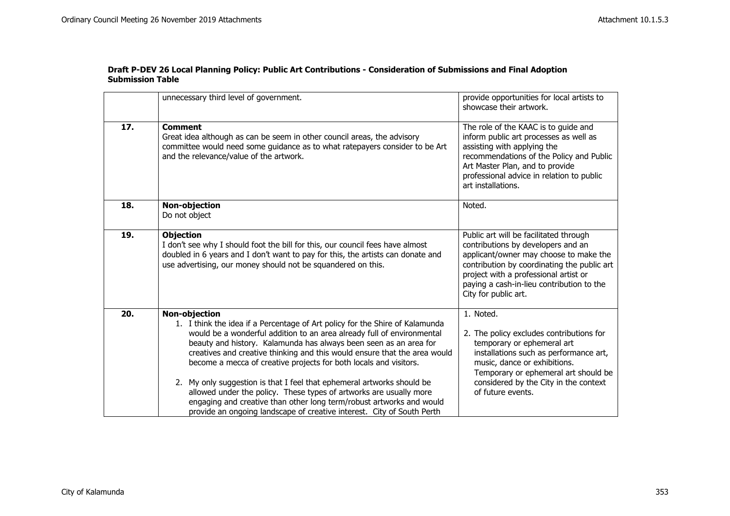|     | unnecessary third level of government.                                                                                                                                                                                                                                                                                                                                                                                                                                                                                                                                                                                                                                                                  | provide opportunities for local artists to<br>showcase their artwork.                                                                                                                                                                                                               |
|-----|---------------------------------------------------------------------------------------------------------------------------------------------------------------------------------------------------------------------------------------------------------------------------------------------------------------------------------------------------------------------------------------------------------------------------------------------------------------------------------------------------------------------------------------------------------------------------------------------------------------------------------------------------------------------------------------------------------|-------------------------------------------------------------------------------------------------------------------------------------------------------------------------------------------------------------------------------------------------------------------------------------|
| 17. | <b>Comment</b><br>Great idea although as can be seem in other council areas, the advisory<br>committee would need some guidance as to what ratepayers consider to be Art<br>and the relevance/value of the artwork.                                                                                                                                                                                                                                                                                                                                                                                                                                                                                     | The role of the KAAC is to guide and<br>inform public art processes as well as<br>assisting with applying the<br>recommendations of the Policy and Public<br>Art Master Plan, and to provide<br>professional advice in relation to public<br>art installations.                     |
| 18. | Non-objection<br>Do not object                                                                                                                                                                                                                                                                                                                                                                                                                                                                                                                                                                                                                                                                          | Noted.                                                                                                                                                                                                                                                                              |
| 19. | <b>Objection</b><br>I don't see why I should foot the bill for this, our council fees have almost<br>doubled in 6 years and I don't want to pay for this, the artists can donate and<br>use advertising, our money should not be squandered on this.                                                                                                                                                                                                                                                                                                                                                                                                                                                    | Public art will be facilitated through<br>contributions by developers and an<br>applicant/owner may choose to make the<br>contribution by coordinating the public art<br>project with a professional artist or<br>paying a cash-in-lieu contribution to the<br>City for public art. |
| 20. | <b>Non-objection</b><br>1. I think the idea if a Percentage of Art policy for the Shire of Kalamunda<br>would be a wonderful addition to an area already full of environmental<br>beauty and history. Kalamunda has always been seen as an area for<br>creatives and creative thinking and this would ensure that the area would<br>become a mecca of creative projects for both locals and visitors.<br>2. My only suggestion is that I feel that ephemeral artworks should be<br>allowed under the policy. These types of artworks are usually more<br>engaging and creative than other long term/robust artworks and would<br>provide an ongoing landscape of creative interest. City of South Perth | 1. Noted.<br>2. The policy excludes contributions for<br>temporary or ephemeral art<br>installations such as performance art,<br>music, dance or exhibitions.<br>Temporary or ephemeral art should be<br>considered by the City in the context<br>of future events.                 |